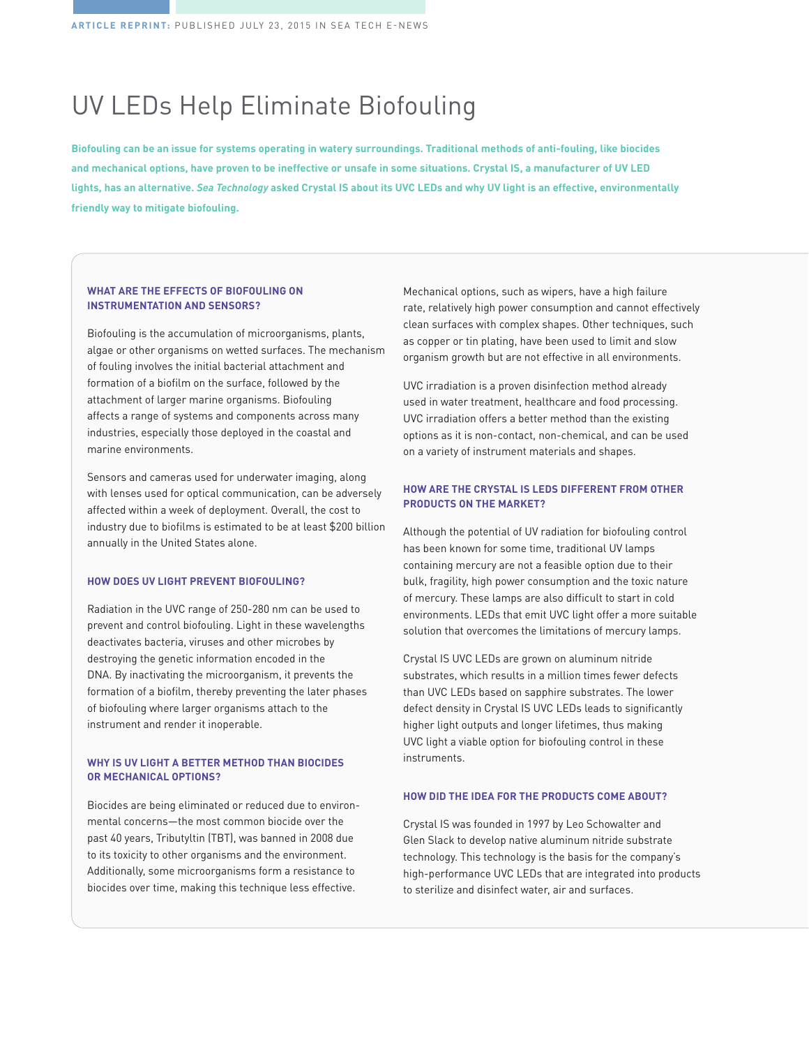# UV LEDs Help Eliminate Biofouling

**Biofouling can be an issue for systems operating in watery surroundings. Traditional methods of anti-fouling, like biocides and mechanical options, have proven to be ineffective or unsafe in some situations. Crystal IS, a manufacturer of UV LED lights, has an alternative.** *Sea Technology* **asked Crystal IS about its UVC LEDs and why UV light is an effective, environmentally friendly way to mitigate biofouling.** 

#### **WHAT ARE THE EFFECTS OF BIOFOULING ON INSTRUMENTATION AND SENSORS?**

Biofouling is the accumulation of microorganisms, plants, algae or other organisms on wetted surfaces. The mechanism of fouling involves the initial bacterial attachment and formation of a biofilm on the surface, followed by the attachment of larger marine organisms. Biofouling affects a range of systems and components across many industries, especially those deployed in the coastal and marine environments.

Sensors and cameras used for underwater imaging, along with lenses used for optical communication, can be adversely affected within a week of deployment. Overall, the cost to industry due to biofilms is estimated to be at least \$200 billion annually in the United States alone.

### **HOW DOES UV LIGHT PREVENT BIOFOULING?**

Radiation in the UVC range of 250-280 nm can be used to prevent and control biofouling. Light in these wavelengths deactivates bacteria, viruses and other microbes by destroying the genetic information encoded in the DNA. By inactivating the microorganism, it prevents the formation of a biofilm, thereby preventing the later phases of biofouling where larger organisms attach to the instrument and render it inoperable.

## **WHY IS UV LIGHT A BETTER METHOD THAN BIOCIDES OR MECHANICAL OPTIONS?**

Biocides are being eliminated or reduced due to environmental concerns—the most common biocide over the past 40 years, Tributyltin (TBT), was banned in 2008 due to its toxicity to other organisms and the environment. Additionally, some microorganisms form a resistance to biocides over time, making this technique less effective.

Mechanical options, such as wipers, have a high failure rate, relatively high power consumption and cannot effectively clean surfaces with complex shapes. Other techniques, such as copper or tin plating, have been used to limit and slow organism growth but are not effective in all environments.

UVC irradiation is a proven disinfection method already used in water treatment, healthcare and food processing. UVC irradiation offers a better method than the existing options as it is non-contact, non-chemical, and can be used on a variety of instrument materials and shapes.

#### **HOW ARE THE CRYSTAL IS LEDS DIFFERENT FROM OTHER PRODUCTS ON THE MARKET?**

Although the potential of UV radiation for biofouling control has been known for some time, traditional UV lamps containing mercury are not a feasible option due to their bulk, fragility, high power consumption and the toxic nature of mercury. These lamps are also difficult to start in cold environments. LEDs that emit UVC light offer a more suitable solution that overcomes the limitations of mercury lamps.

Crystal IS UVC LEDs are grown on aluminum nitride substrates, which results in a million times fewer defects than UVC LEDs based on sapphire substrates. The lower defect density in Crystal IS UVC LEDs leads to significantly higher light outputs and longer lifetimes, thus making UVC light a viable option for biofouling control in these instruments.

#### **HOW DID THE IDEA FOR THE PRODUCTS COME ABOUT?**

Crystal IS was founded in 1997 by Leo Schowalter and Glen Slack to develop native aluminum nitride substrate technology. This technology is the basis for the company's high-performance UVC LEDs that are integrated into products to sterilize and disinfect water, air and surfaces.